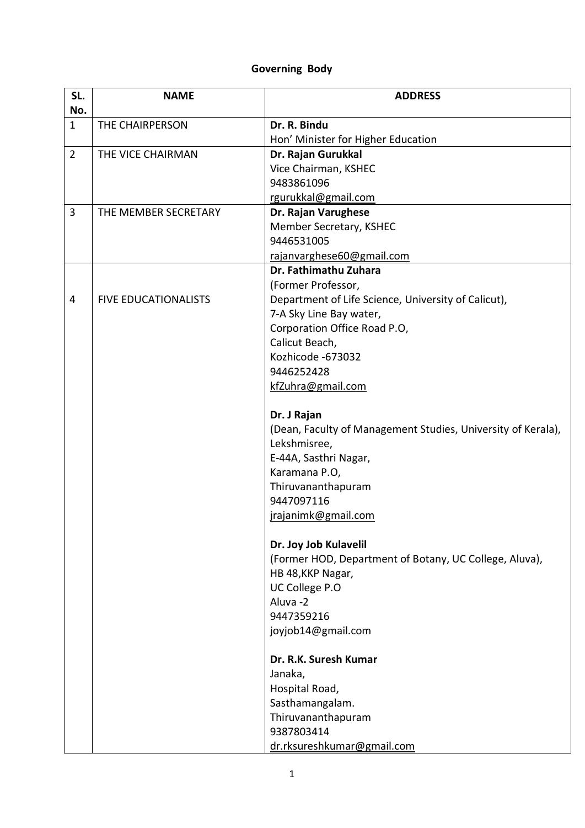## **Governing Body**

| SL.            | <b>NAME</b>                 | <b>ADDRESS</b>                                               |
|----------------|-----------------------------|--------------------------------------------------------------|
| No.            |                             |                                                              |
| $\mathbf{1}$   | THE CHAIRPERSON             | Dr. R. Bindu<br>Hon' Minister for Higher Education           |
| $\overline{2}$ | THE VICE CHAIRMAN           | Dr. Rajan Gurukkal                                           |
|                |                             | Vice Chairman, KSHEC                                         |
|                |                             | 9483861096                                                   |
|                |                             | rgurukkal@gmail.com                                          |
| 3              | THE MEMBER SECRETARY        | Dr. Rajan Varughese                                          |
|                |                             | Member Secretary, KSHEC                                      |
|                |                             | 9446531005                                                   |
|                |                             | rajanvarghese60@gmail.com                                    |
|                |                             | Dr. Fathimathu Zuhara                                        |
|                |                             | (Former Professor,                                           |
| 4              | <b>FIVE EDUCATIONALISTS</b> | Department of Life Science, University of Calicut),          |
|                |                             | 7-A Sky Line Bay water,                                      |
|                |                             | Corporation Office Road P.O,                                 |
|                |                             | Calicut Beach,                                               |
|                |                             | Kozhicode -673032                                            |
|                |                             | 9446252428                                                   |
|                |                             | kfZuhra@gmail.com                                            |
|                |                             | Dr. J Rajan                                                  |
|                |                             | (Dean, Faculty of Management Studies, University of Kerala), |
|                |                             | Lekshmisree,                                                 |
|                |                             | E-44A, Sasthri Nagar,                                        |
|                |                             | Karamana P.O,                                                |
|                |                             | Thiruvananthapuram                                           |
|                |                             | 9447097116                                                   |
|                |                             | jrajanimk@gmail.com                                          |
|                |                             | Dr. Joy Job Kulavelil                                        |
|                |                             | (Former HOD, Department of Botany, UC College, Aluva),       |
|                |                             | HB 48, KKP Nagar,                                            |
|                |                             | UC College P.O                                               |
|                |                             | Aluva-2                                                      |
|                |                             | 9447359216                                                   |
|                |                             | joyjob14@gmail.com                                           |
|                |                             | Dr. R.K. Suresh Kumar                                        |
|                |                             | Janaka,                                                      |
|                |                             | Hospital Road,                                               |
|                |                             | Sasthamangalam.                                              |
|                |                             | Thiruvananthapuram                                           |
|                |                             | 9387803414                                                   |
|                |                             | dr.rksureshkumar@gmail.com                                   |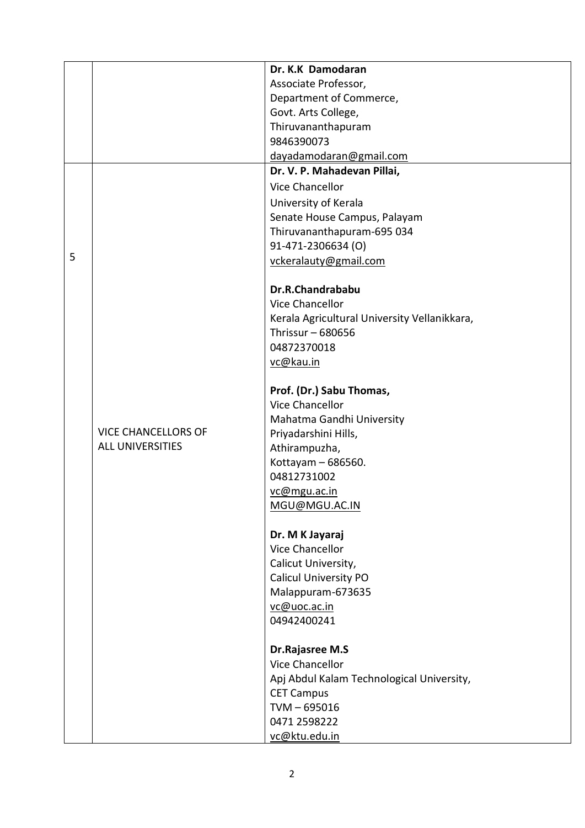|   |                            | Dr. K.K Damodaran                                   |
|---|----------------------------|-----------------------------------------------------|
|   |                            | Associate Professor,                                |
|   |                            | Department of Commerce,                             |
|   |                            | Govt. Arts College,                                 |
|   |                            | Thiruvananthapuram                                  |
|   |                            | 9846390073                                          |
|   |                            | dayadamodaran@gmail.com                             |
|   |                            | Dr. V. P. Mahadevan Pillai,                         |
|   |                            | <b>Vice Chancellor</b>                              |
|   |                            | University of Kerala                                |
|   |                            | Senate House Campus, Palayam                        |
|   |                            | Thiruvananthapuram-695 034                          |
|   |                            | 91-471-2306634 (O)                                  |
| 5 |                            | vckeralauty@gmail.com                               |
|   |                            |                                                     |
|   |                            | Dr.R.Chandrababu                                    |
|   |                            | Vice Chancellor                                     |
|   |                            | Kerala Agricultural University Vellanikkara,        |
|   |                            | Thrissur $-680656$                                  |
|   |                            | 04872370018                                         |
|   |                            | vc@kau.in                                           |
|   |                            |                                                     |
|   |                            | Prof. (Dr.) Sabu Thomas,                            |
|   |                            | <b>Vice Chancellor</b>                              |
|   |                            | Mahatma Gandhi University                           |
|   | <b>VICE CHANCELLORS OF</b> | Priyadarshini Hills,                                |
|   | <b>ALL UNIVERSITIES</b>    | Athirampuzha,                                       |
|   |                            | Kottayam - 686560.                                  |
|   |                            | 04812731002                                         |
|   |                            | vc@mgu.ac.in                                        |
|   |                            | MGU@MGU.AC.IN                                       |
|   |                            |                                                     |
|   |                            | Dr. M K Jayaraj                                     |
|   |                            | Vice Chancellor                                     |
|   |                            | Calicut University,<br><b>Calicul University PO</b> |
|   |                            |                                                     |
|   |                            | Malappuram-673635                                   |
|   |                            | vc@uoc.ac.in<br>04942400241                         |
|   |                            |                                                     |
|   |                            | Dr.Rajasree M.S                                     |
|   |                            | <b>Vice Chancellor</b>                              |
|   |                            | Apj Abdul Kalam Technological University,           |
|   |                            | <b>CET Campus</b>                                   |
|   |                            | $TVM - 695016$                                      |
|   |                            | 0471 2598222                                        |
|   |                            | vc@ktu.edu.in                                       |
|   |                            |                                                     |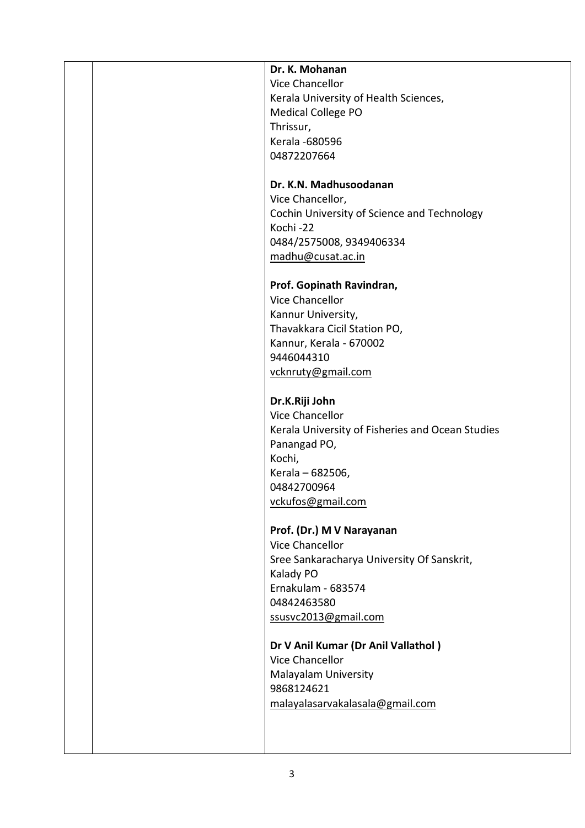|  | Dr. K. Mohanan                                   |
|--|--------------------------------------------------|
|  | Vice Chancellor                                  |
|  | Kerala University of Health Sciences,            |
|  | <b>Medical College PO</b>                        |
|  | Thrissur,                                        |
|  | Kerala - 680596                                  |
|  | 04872207664                                      |
|  |                                                  |
|  | Dr. K.N. Madhusoodanan                           |
|  | Vice Chancellor,                                 |
|  | Cochin University of Science and Technology      |
|  | Kochi-22                                         |
|  | 0484/2575008, 9349406334                         |
|  | madhu@cusat.ac.in                                |
|  |                                                  |
|  | Prof. Gopinath Ravindran,                        |
|  | <b>Vice Chancellor</b>                           |
|  | Kannur University,                               |
|  | Thavakkara Cicil Station PO,                     |
|  | Kannur, Kerala - 670002                          |
|  | 9446044310                                       |
|  | vcknruty@gmail.com                               |
|  |                                                  |
|  | Dr.K.Riji John                                   |
|  | <b>Vice Chancellor</b>                           |
|  | Kerala University of Fisheries and Ocean Studies |
|  | Panangad PO,                                     |
|  | Kochi,                                           |
|  | Kerala - 682506,                                 |
|  | 04842700964                                      |
|  |                                                  |
|  | vckufos@gmail.com                                |
|  | Prof. (Dr.) M V Narayanan                        |
|  | <b>Vice Chancellor</b>                           |
|  | Sree Sankaracharya University Of Sanskrit,       |
|  | Kalady PO                                        |
|  | Ernakulam - 683574                               |
|  | 04842463580                                      |
|  | ssusvc2013@gmail.com                             |
|  |                                                  |
|  | Dr V Anil Kumar (Dr Anil Vallathol)              |
|  | <b>Vice Chancellor</b>                           |
|  | Malayalam University                             |
|  | 9868124621                                       |
|  | malayalasarvakalasala@gmail.com                  |
|  |                                                  |
|  |                                                  |
|  |                                                  |
|  |                                                  |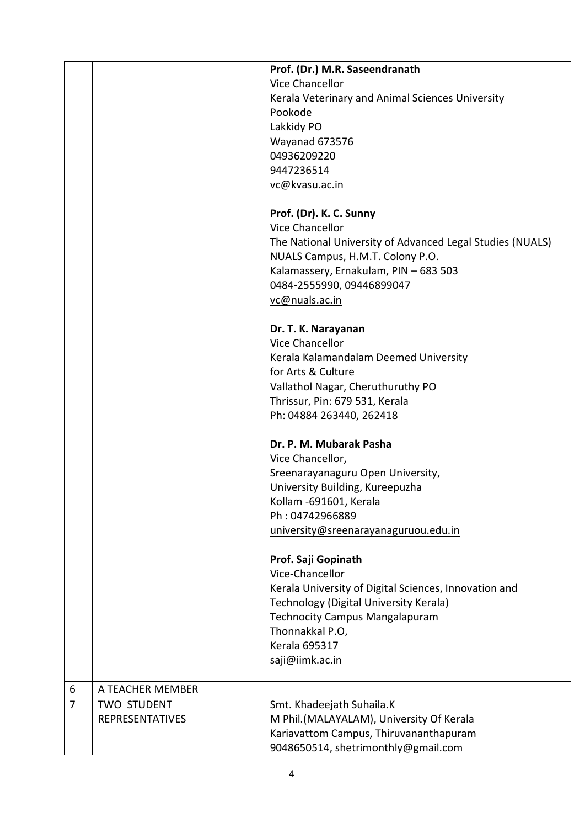|                |                        | Prof. (Dr.) M.R. Saseendranath                            |
|----------------|------------------------|-----------------------------------------------------------|
|                |                        | Vice Chancellor                                           |
|                |                        | Kerala Veterinary and Animal Sciences University          |
|                |                        | Pookode                                                   |
|                |                        | Lakkidy PO                                                |
|                |                        | Wayanad 673576                                            |
|                |                        | 04936209220                                               |
|                |                        | 9447236514                                                |
|                |                        | vc@kvasu.ac.in                                            |
|                |                        |                                                           |
|                |                        | Prof. (Dr). K. C. Sunny                                   |
|                |                        | <b>Vice Chancellor</b>                                    |
|                |                        | The National University of Advanced Legal Studies (NUALS) |
|                |                        | NUALS Campus, H.M.T. Colony P.O.                          |
|                |                        |                                                           |
|                |                        | Kalamassery, Ernakulam, PIN - 683 503                     |
|                |                        | 0484-2555990, 09446899047                                 |
|                |                        | vc@nuals.ac.in                                            |
|                |                        |                                                           |
|                |                        | Dr. T. K. Narayanan                                       |
|                |                        | Vice Chancellor                                           |
|                |                        | Kerala Kalamandalam Deemed University                     |
|                |                        | for Arts & Culture                                        |
|                |                        | Vallathol Nagar, Cheruthuruthy PO                         |
|                |                        | Thrissur, Pin: 679 531, Kerala                            |
|                |                        | Ph: 04884 263440, 262418                                  |
|                |                        |                                                           |
|                |                        | Dr. P. M. Mubarak Pasha                                   |
|                |                        | Vice Chancellor,                                          |
|                |                        | Sreenarayanaguru Open University,                         |
|                |                        | University Building, Kureepuzha                           |
|                |                        | Kollam -691601, Kerala                                    |
|                |                        | Ph: 04742966889                                           |
|                |                        | university@sreenarayanaguruou.edu.in                      |
|                |                        |                                                           |
|                |                        | Prof. Saji Gopinath                                       |
|                |                        | Vice-Chancellor                                           |
|                |                        |                                                           |
|                |                        | Kerala University of Digital Sciences, Innovation and     |
|                |                        | Technology (Digital University Kerala)                    |
|                |                        | <b>Technocity Campus Mangalapuram</b>                     |
|                |                        | Thonnakkal P.O,                                           |
|                |                        | <b>Kerala 695317</b>                                      |
|                |                        | saji@iimk.ac.in                                           |
| 6              | A TEACHER MEMBER       |                                                           |
| $\overline{7}$ | <b>TWO STUDENT</b>     | Smt. Khadeejath Suhaila.K                                 |
|                | <b>REPRESENTATIVES</b> | M Phil.(MALAYALAM), University Of Kerala                  |
|                |                        |                                                           |
|                |                        | Kariavattom Campus, Thiruvananthapuram                    |
|                |                        | 9048650514, shetrimonthly@gmail.com                       |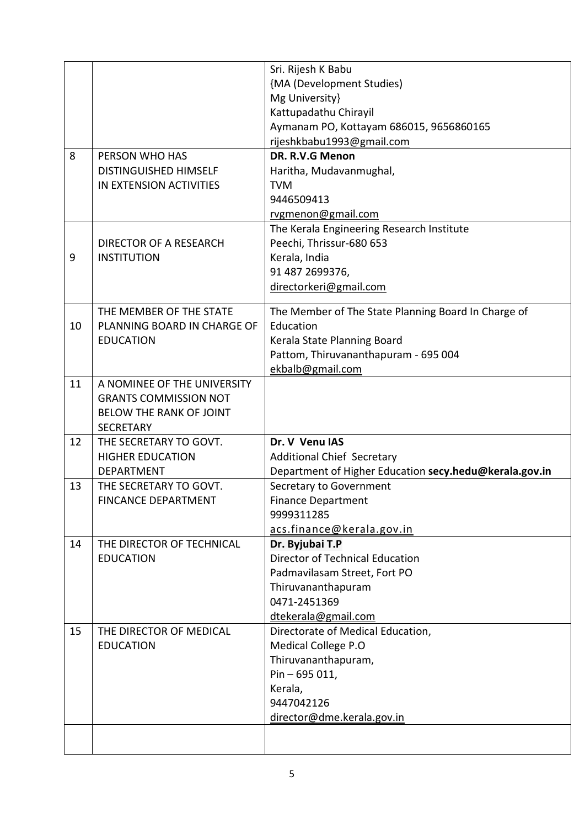|    |                                                    | Sri. Rijesh K Babu<br>{MA (Development Studies)          |
|----|----------------------------------------------------|----------------------------------------------------------|
|    |                                                    | Mg University}                                           |
|    |                                                    | Kattupadathu Chirayil                                    |
|    |                                                    | Aymanam PO, Kottayam 686015, 9656860165                  |
| 8  | PERSON WHO HAS                                     | rijeshkbabu1993@gmail.com<br>DR. R.V.G Menon             |
|    | <b>DISTINGUISHED HIMSELF</b>                       | Haritha, Mudavanmughal,                                  |
|    | IN EXTENSION ACTIVITIES                            | <b>TVM</b>                                               |
|    |                                                    | 9446509413                                               |
|    |                                                    | rvgmenon@gmail.com                                       |
|    |                                                    | The Kerala Engineering Research Institute                |
|    | DIRECTOR OF A RESEARCH                             | Peechi, Thrissur-680 653                                 |
| 9  | <b>INSTITUTION</b>                                 | Kerala, India                                            |
|    |                                                    | 91 487 2699376,                                          |
|    |                                                    | directorkeri@gmail.com                                   |
|    | THE MEMBER OF THE STATE                            | The Member of The State Planning Board In Charge of      |
| 10 | PLANNING BOARD IN CHARGE OF                        | Education                                                |
|    | <b>EDUCATION</b>                                   | Kerala State Planning Board                              |
|    |                                                    | Pattom, Thiruvananthapuram - 695 004                     |
|    |                                                    | ekbalb@gmail.com                                         |
| 11 | A NOMINEE OF THE UNIVERSITY                        |                                                          |
|    | <b>GRANTS COMMISSION NOT</b>                       |                                                          |
|    | <b>BELOW THE RANK OF JOINT</b><br><b>SECRETARY</b> |                                                          |
| 12 | THE SECRETARY TO GOVT.                             | Dr. V Venu IAS                                           |
|    | <b>HIGHER EDUCATION</b>                            | <b>Additional Chief Secretary</b>                        |
|    | <b>DEPARTMENT</b>                                  | Department of Higher Education secy.hedu@kerala.gov.in   |
| 13 | THE SECRETARY TO GOVT.                             | Secretary to Government                                  |
|    | <b>FINCANCE DEPARTMENT</b>                         | <b>Finance Department</b>                                |
|    |                                                    | 9999311285                                               |
|    |                                                    | acs.finance@kerala.gov.in                                |
| 14 | THE DIRECTOR OF TECHNICAL                          | Dr. Byjubai T.P                                          |
|    | <b>EDUCATION</b>                                   | Director of Technical Education                          |
|    |                                                    | Padmavilasam Street, Fort PO                             |
|    |                                                    | Thiruvananthapuram                                       |
|    |                                                    | 0471-2451369                                             |
| 15 | THE DIRECTOR OF MEDICAL                            | dtekerala@gmail.com<br>Directorate of Medical Education, |
|    | <b>EDUCATION</b>                                   | Medical College P.O                                      |
|    |                                                    | Thiruvananthapuram,                                      |
|    |                                                    | Pin-695 011,                                             |
|    |                                                    | Kerala,                                                  |
|    |                                                    | 9447042126                                               |
|    |                                                    | director@dme.kerala.gov.in                               |
|    |                                                    |                                                          |
|    |                                                    |                                                          |